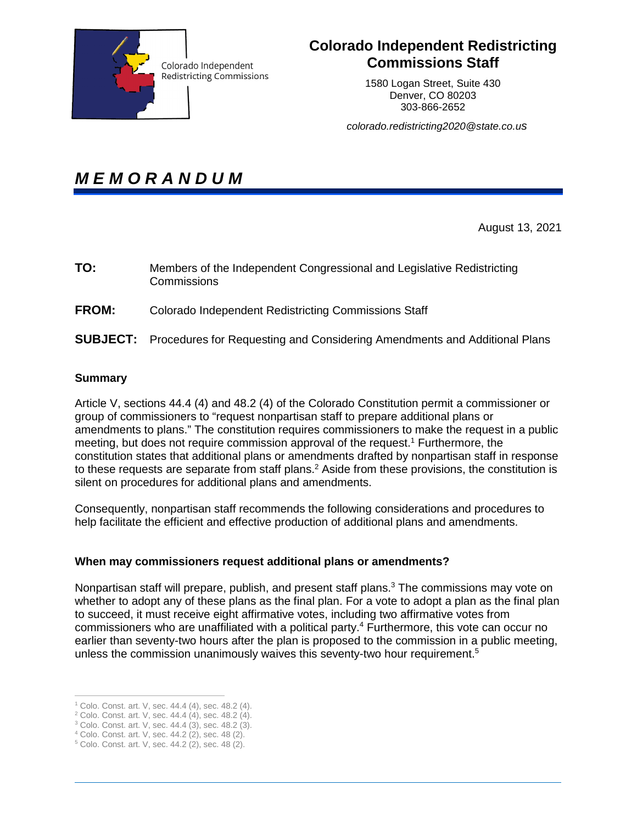

# **Colorado Independent Redistricting Commissions Staff**

1580 Logan Street, Suite 430 Denver, CO 80203 303-866-2652

*colorado.redistricting2020@state.co.us* 

*M E M O R A N D U M* 

August 13, 2021

| TO:          | Members of the Independent Congressional and Legislative Redistricting<br>Commissions     |
|--------------|-------------------------------------------------------------------------------------------|
| <b>FROM:</b> | Colorado Independent Redistricting Commissions Staff                                      |
|              | <b>SUBJECT:</b> Procedures for Requesting and Considering Amendments and Additional Plans |

# **Summary**

 $\overline{a}$ 

Article V, sections 44.4 (4) and 48.2 (4) of the Colorado Constitution permit a commissioner or group of commissioners to "request nonpartisan staff to prepare additional plans or amendments to plans." The constitution requires commissioners to make the request in a public meeting, but does not require commission approval of the request.<sup>1</sup> Furthermore, the constitution states that additional plans or amendments drafted by nonpartisan staff in response to these requests are separate from staff plans.<sup>2</sup> Aside from these provisions, the constitution is silent on procedures for additional plans and amendments.

Consequently, nonpartisan staff recommends the following considerations and procedures to help facilitate the efficient and effective production of additional plans and amendments.

# **When may commissioners request additional plans or amendments?**

Nonpartisan staff will prepare, publish, and present staff plans.<sup>3</sup> The commissions may vote on whether to adopt any of these plans as the final plan. For a vote to adopt a plan as the final plan to succeed, it must receive eight affirmative votes, including two affirmative votes from commissioners who are unaffiliated with a political party.<sup>4</sup> Furthermore, this vote can occur no earlier than seventy-two hours after the plan is proposed to the commission in a public meeting, unless the commission unanimously waives this seventy-two hour requirement.<sup>5</sup>

<sup>1</sup> Colo. Const. art. V, sec. 44.4 (4), sec. 48.2 (4).

<sup>2</sup> Colo. Const. art. V, sec. 44.4 (4), sec. 48.2 (4).

<sup>3</sup> Colo. Const. art. V, sec. 44.4 (3), sec. 48.2 (3).

<sup>4</sup> Colo. Const. art. V, sec. 44.2 (2), sec. 48 (2).

<sup>5</sup> Colo. Const. art. V, sec. 44.2 (2), sec. 48 (2).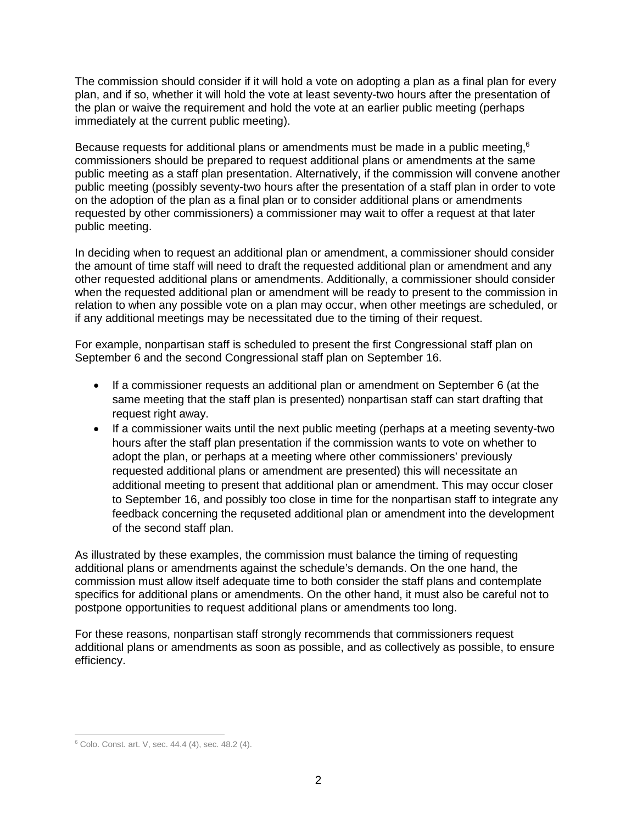The commission should consider if it will hold a vote on adopting a plan as a final plan for every plan, and if so, whether it will hold the vote at least seventy-two hours after the presentation of the plan or waive the requirement and hold the vote at an earlier public meeting (perhaps immediately at the current public meeting).

Because requests for additional plans or amendments must be made in a public meeting, $6$ commissioners should be prepared to request additional plans or amendments at the same public meeting as a staff plan presentation. Alternatively, if the commission will convene another public meeting (possibly seventy-two hours after the presentation of a staff plan in order to vote on the adoption of the plan as a final plan or to consider additional plans or amendments requested by other commissioners) a commissioner may wait to offer a request at that later public meeting.

In deciding when to request an additional plan or amendment, a commissioner should consider the amount of time staff will need to draft the requested additional plan or amendment and any other requested additional plans or amendments. Additionally, a commissioner should consider when the requested additional plan or amendment will be ready to present to the commission in relation to when any possible vote on a plan may occur, when other meetings are scheduled, or if any additional meetings may be necessitated due to the timing of their request.

For example, nonpartisan staff is scheduled to present the first Congressional staff plan on September 6 and the second Congressional staff plan on September 16.

- If a commissioner requests an additional plan or amendment on September 6 (at the same meeting that the staff plan is presented) nonpartisan staff can start drafting that request right away.
- If a commissioner waits until the next public meeting (perhaps at a meeting seventy-two hours after the staff plan presentation if the commission wants to vote on whether to adopt the plan, or perhaps at a meeting where other commissioners' previously requested additional plans or amendment are presented) this will necessitate an additional meeting to present that additional plan or amendment. This may occur closer to September 16, and possibly too close in time for the nonpartisan staff to integrate any feedback concerning the requseted additional plan or amendment into the development of the second staff plan.

As illustrated by these examples, the commission must balance the timing of requesting additional plans or amendments against the schedule's demands. On the one hand, the commission must allow itself adequate time to both consider the staff plans and contemplate specifics for additional plans or amendments. On the other hand, it must also be careful not to postpone opportunities to request additional plans or amendments too long.

For these reasons, nonpartisan staff strongly recommends that commissioners request additional plans or amendments as soon as possible, and as collectively as possible, to ensure efficiency.

 $\overline{a}$ 

<sup>6</sup> Colo. Const. art. V, sec. 44.4 (4), sec. 48.2 (4).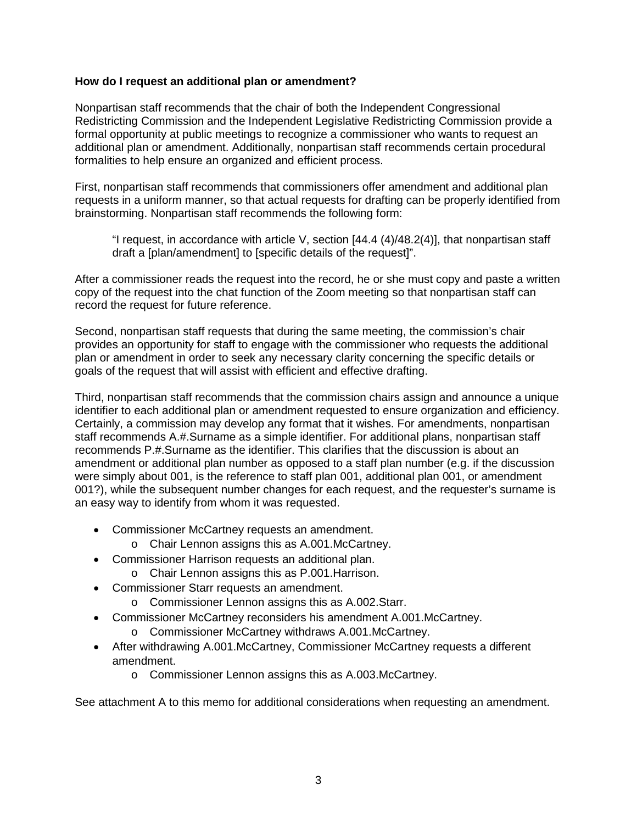# **How do I request an additional plan or amendment?**

Nonpartisan staff recommends that the chair of both the Independent Congressional Redistricting Commission and the Independent Legislative Redistricting Commission provide a formal opportunity at public meetings to recognize a commissioner who wants to request an additional plan or amendment. Additionally, nonpartisan staff recommends certain procedural formalities to help ensure an organized and efficient process.

First, nonpartisan staff recommends that commissioners offer amendment and additional plan requests in a uniform manner, so that actual requests for drafting can be properly identified from brainstorming. Nonpartisan staff recommends the following form:

"I request, in accordance with article V, section [44.4 (4)/48.2(4)], that nonpartisan staff draft a [plan/amendment] to [specific details of the request]".

After a commissioner reads the request into the record, he or she must copy and paste a written copy of the request into the chat function of the Zoom meeting so that nonpartisan staff can record the request for future reference.

Second, nonpartisan staff requests that during the same meeting, the commission's chair provides an opportunity for staff to engage with the commissioner who requests the additional plan or amendment in order to seek any necessary clarity concerning the specific details or goals of the request that will assist with efficient and effective drafting.

Third, nonpartisan staff recommends that the commission chairs assign and announce a unique identifier to each additional plan or amendment requested to ensure organization and efficiency. Certainly, a commission may develop any format that it wishes. For amendments, nonpartisan staff recommends A.#.Surname as a simple identifier. For additional plans, nonpartisan staff recommends P.#.Surname as the identifier. This clarifies that the discussion is about an amendment or additional plan number as opposed to a staff plan number (e.g. if the discussion were simply about 001, is the reference to staff plan 001, additional plan 001, or amendment 001?), while the subsequent number changes for each request, and the requester's surname is an easy way to identify from whom it was requested.

- Commissioner McCartney requests an amendment.
	- o Chair Lennon assigns this as A.001.McCartney.
- Commissioner Harrison requests an additional plan.
	- o Chair Lennon assigns this as P.001.Harrison.
- Commissioner Starr requests an amendment.
	- o Commissioner Lennon assigns this as A.002.Starr.
- Commissioner McCartney reconsiders his amendment A.001.McCartney.
	- o Commissioner McCartney withdraws A.001.McCartney.
- After withdrawing A.001.McCartney, Commissioner McCartney requests a different amendment.
	- o Commissioner Lennon assigns this as A.003.McCartney.

See attachment A to this memo for additional considerations when requesting an amendment.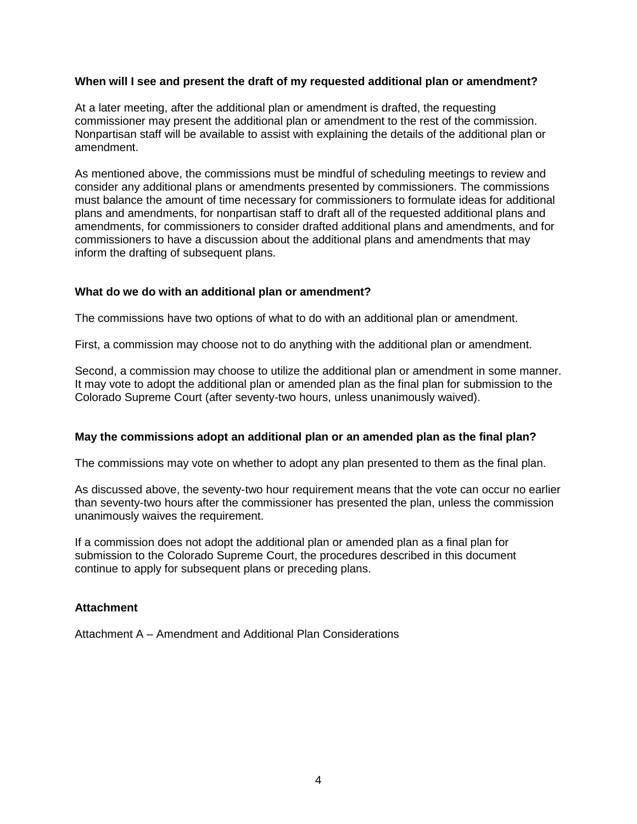#### **When will I see and present the draft of my requested additional plan or amendment?**

At a later meeting, after the additional plan or amendment is drafted, the requesting commissioner may present the additional plan or amendment to the rest of the commission. Nonpartisan staff will be available to assist with explaining the details of the additional plan or amendment.

As mentioned above, the commissions must be mindful of scheduling meetings to review and consider any additional plans or amendments presented by commissioners. The commissions must balance the amount of time necessary for commissioners to formulate ideas for additional plans and amendments, for nonpartisan staff to draft all of the requested additional plans and amendments, for commissioners to consider drafted additional plans and amendments, and for commissioners to have a discussion about the additional plans and amendments that may inform the drafting of subsequent plans.

#### **What do we do with an additional plan or amendment?**

The commissions have two options of what to do with an additional plan or amendment.

First, a commission may choose not to do anything with the additional plan or amendment.

Second, a commission may choose to utilize the additional plan or amendment in some manner. It may vote to adopt the additional plan or amended plan as the final plan for submission to the Colorado Supreme Court (after seventy-two hours, unless unanimously waived).

# **May the commissions adopt an additional plan or an amended plan as the final plan?**

The commissions may vote on whether to adopt any plan presented to them as the final plan.

As discussed above, the seventy-two hour requirement means that the vote can occur no earlier than seventy-two hours after the commissioner has presented the plan, unless the commission unanimously waives the requirement.

If a commission does not adopt the additional plan or amended plan as a final plan for submission to the Colorado Supreme Court, the procedures described in this document continue to apply for subsequent plans or preceding plans.

#### **Attachment**

Attachment A – Amendment and Additional Plan Considerations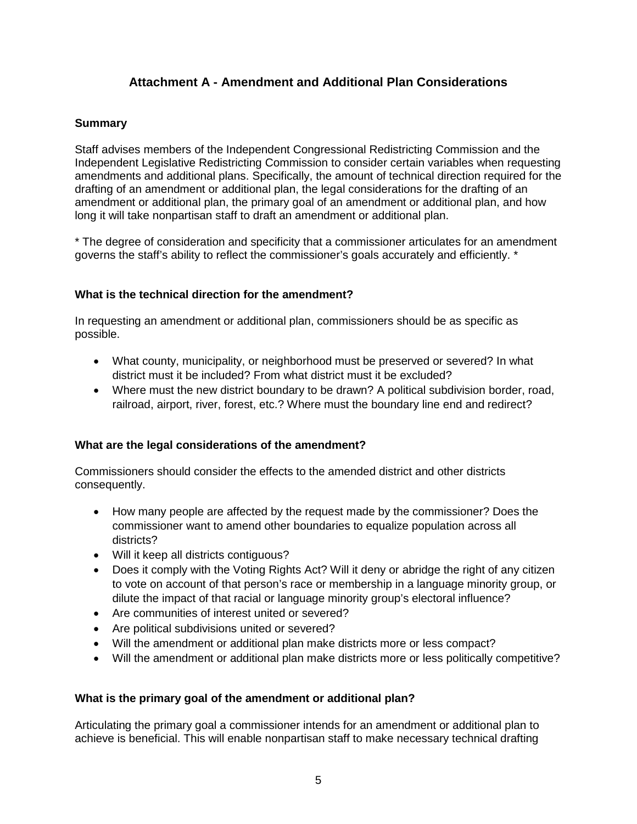# **Attachment A - Amendment and Additional Plan Considerations**

# **Summary**

Staff advises members of the Independent Congressional Redistricting Commission and the Independent Legislative Redistricting Commission to consider certain variables when requesting amendments and additional plans. Specifically, the amount of technical direction required for the drafting of an amendment or additional plan, the legal considerations for the drafting of an amendment or additional plan, the primary goal of an amendment or additional plan, and how long it will take nonpartisan staff to draft an amendment or additional plan.

\* The degree of consideration and specificity that a commissioner articulates for an amendment governs the staff's ability to reflect the commissioner's goals accurately and efficiently. \*

# **What is the technical direction for the amendment?**

In requesting an amendment or additional plan, commissioners should be as specific as possible.

- What county, municipality, or neighborhood must be preserved or severed? In what district must it be included? From what district must it be excluded?
- Where must the new district boundary to be drawn? A political subdivision border, road, railroad, airport, river, forest, etc.? Where must the boundary line end and redirect?

# **What are the legal considerations of the amendment?**

Commissioners should consider the effects to the amended district and other districts consequently.

- How many people are affected by the request made by the commissioner? Does the commissioner want to amend other boundaries to equalize population across all districts?
- Will it keep all districts contiguous?
- Does it comply with the Voting Rights Act? Will it deny or abridge the right of any citizen to vote on account of that person's race or membership in a language minority group, or dilute the impact of that racial or language minority group's electoral influence?
- Are communities of interest united or severed?
- Are political subdivisions united or severed?
- Will the amendment or additional plan make districts more or less compact?
- Will the amendment or additional plan make districts more or less politically competitive?

# **What is the primary goal of the amendment or additional plan?**

Articulating the primary goal a commissioner intends for an amendment or additional plan to achieve is beneficial. This will enable nonpartisan staff to make necessary technical drafting